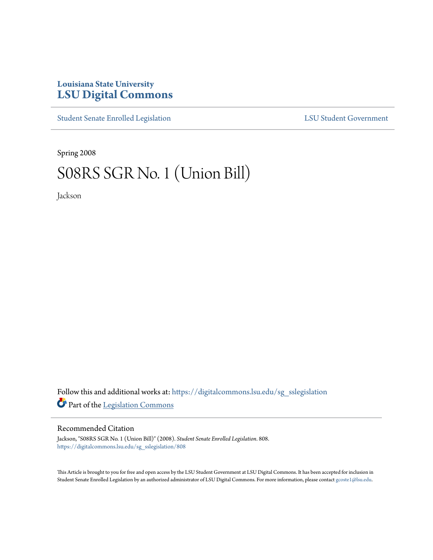# **Louisiana State University [LSU Digital Commons](https://digitalcommons.lsu.edu?utm_source=digitalcommons.lsu.edu%2Fsg_sslegislation%2F808&utm_medium=PDF&utm_campaign=PDFCoverPages)**

[Student Senate Enrolled Legislation](https://digitalcommons.lsu.edu/sg_sslegislation?utm_source=digitalcommons.lsu.edu%2Fsg_sslegislation%2F808&utm_medium=PDF&utm_campaign=PDFCoverPages) [LSU Student Government](https://digitalcommons.lsu.edu/sg?utm_source=digitalcommons.lsu.edu%2Fsg_sslegislation%2F808&utm_medium=PDF&utm_campaign=PDFCoverPages)

Spring 2008

# S08RS SGR No. 1 (Union Bill)

Jackson

Follow this and additional works at: [https://digitalcommons.lsu.edu/sg\\_sslegislation](https://digitalcommons.lsu.edu/sg_sslegislation?utm_source=digitalcommons.lsu.edu%2Fsg_sslegislation%2F808&utm_medium=PDF&utm_campaign=PDFCoverPages) Part of the [Legislation Commons](http://network.bepress.com/hgg/discipline/859?utm_source=digitalcommons.lsu.edu%2Fsg_sslegislation%2F808&utm_medium=PDF&utm_campaign=PDFCoverPages)

#### Recommended Citation

Jackson, "S08RS SGR No. 1 (Union Bill)" (2008). *Student Senate Enrolled Legislation*. 808. [https://digitalcommons.lsu.edu/sg\\_sslegislation/808](https://digitalcommons.lsu.edu/sg_sslegislation/808?utm_source=digitalcommons.lsu.edu%2Fsg_sslegislation%2F808&utm_medium=PDF&utm_campaign=PDFCoverPages)

This Article is brought to you for free and open access by the LSU Student Government at LSU Digital Commons. It has been accepted for inclusion in Student Senate Enrolled Legislation by an authorized administrator of LSU Digital Commons. For more information, please contact [gcoste1@lsu.edu.](mailto:gcoste1@lsu.edu)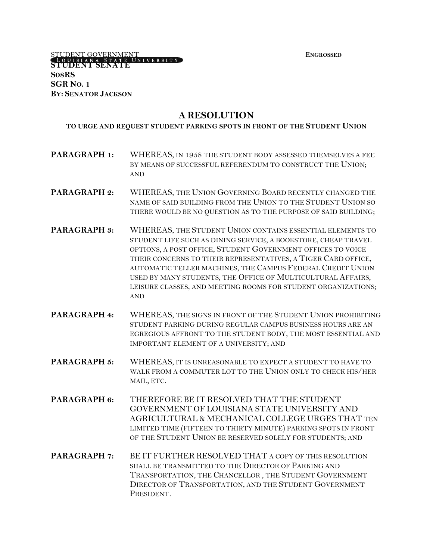**EXTUDENT GOVERNMENT FINGLE EXECUTE EXECUTE ENGROSSED STUDENT SENATE S08RS SGR NO. 1 BY: SENATOR JACKSON**

# **A RESOLUTION**

#### **TO URGE AND REQUEST STUDENT PARKING SPOTS IN FRONT OF THE STUDENT UNION**

- **PARAGRAPH 1:** WHEREAS, IN 1958 THE STUDENT BODY ASSESSED THEMSELVES A FEE BY MEANS OF SUCCESSFUL REFERENDUM TO CONSTRUCT THE UNION; AND
- **PARAGRAPH 2:** WHEREAS, THE UNION GOVERNING BOARD RECENTLY CHANGED THE NAME OF SAID BUILDING FROM THE UNION TO THE STUDENT UNION SO THERE WOULD BE NO QUESTION AS TO THE PURPOSE OF SAID BUILDING;
- **PARAGRAPH 3:** WHEREAS, THE STUDENT UNION CONTAINS ESSENTIAL ELEMENTS TO STUDENT LIFE SUCH AS DINING SERVICE, A BOOKSTORE, CHEAP TRAVEL OPTIONS, A POST OFFICE, STUDENT GOVERNMENT OFFICES TO VOICE THEIR CONCERNS TO THEIR REPRESENTATIVES, A TIGER CARD OFFICE, AUTOMATIC TELLER MACHINES, THE CAMPUS FEDERAL CREDIT UNION USED BY MANY STUDENTS, THE OFFICE OF MULTICULTURAL AFFAIRS, LEISURE CLASSES, AND MEETING ROOMS FOR STUDENT ORGANIZATIONS; AND
- **PARAGRAPH 4:** WHEREAS, THE SIGNS IN FRONT OF THE STUDENT UNION PROHIBITING STUDENT PARKING DURING REGULAR CAMPUS BUSINESS HOURS ARE AN EGREGIOUS AFFRONT TO THE STUDENT BODY, THE MOST ESSENTIAL AND IMPORTANT ELEMENT OF A UNIVERSITY; AND
- **PARAGRAPH 5:** WHEREAS, IT IS UNREASONABLE TO EXPECT A STUDENT TO HAVE TO WALK FROM A COMMUTER LOT TO THE UNION ONLY TO CHECK HIS/HER MAIL, ETC.
- **PARAGRAPH 6:** THEREFORE BE IT RESOLVED THAT THE STUDENT GOVERNMENT OF LOUISIANA STATE UNIVERSITY AND AGRICULTURAL & MECHANICAL COLLEGE URGES THAT TEN LIMITED TIME (FIFTEEN TO THIRTY MINUTE) PARKING SPOTS IN FRONT OF THE STUDENT UNION BE RESERVED SOLELY FOR STUDENTS; AND
- **PARAGRAPH 7: BE IT FURTHER RESOLVED THAT A COPY OF THIS RESOLUTION** SHALL BE TRANSMITTED TO THE DIRECTOR OF PARKING AND TRANSPORTATION, THE CHANCELLOR , THE STUDENT GOVERNMENT DIRECTOR OF TRANSPORTATION, AND THE STUDENT GOVERNMENT PRESIDENT.